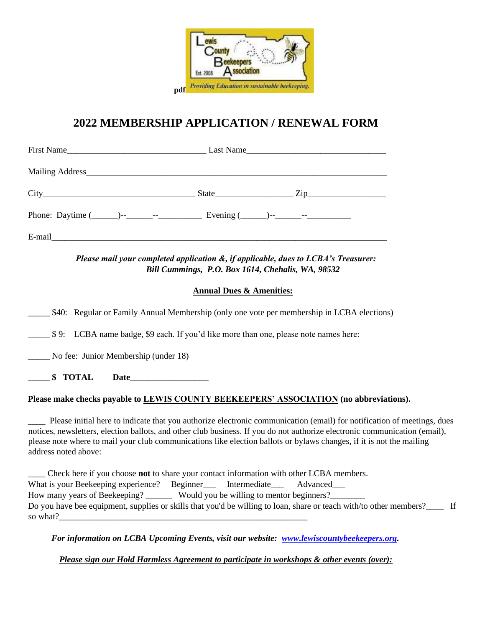

# **2022 MEMBERSHIP APPLICATION / RENEWAL FORM**

|        | $\text{State}$ $\text{Zip}$ |
|--------|-----------------------------|
|        |                             |
| E-mail |                             |

#### *Please mail your completed application &, if applicable, dues to LCBA's Treasurer: Bill Cummings, P.O. Box 1614, Chehalis, WA, 98532*

#### **Annual Dues & Amenities:**

\_\_\_\_\_ \$40: Regular or Family Annual Membership (only one vote per membership in LCBA elections)

\_\_\_\_\_ \$ 9: LCBA name badge, \$9 each. If you'd like more than one, please note names here:

\_\_\_\_\_ No fee: Junior Membership (under 18)

**\_\_\_\_\_ \$ TOTAL Date\_\_\_\_\_\_\_\_\_\_\_\_\_\_\_\_\_\_**

## **Please make checks payable to LEWIS COUNTY BEEKEEPERS' ASSOCIATION (no abbreviations).**

\_\_\_\_ Please initial here to indicate that you authorize electronic communication (email) for notification of meetings, dues notices, newsletters, election ballots, and other club business. If you do not authorize electronic communication (email), please note where to mail your club communications like election ballots or bylaws changes, if it is not the mailing address noted above:

\_\_\_\_ Check here if you choose **not** to share your contact information with other LCBA members. What is your Beekeeping experience? Beginner\_\_\_ Intermediate\_\_\_ Advanced\_\_\_ How many years of Beekeeping? \_\_\_\_\_\_\_\_\_\_ Would you be willing to mentor beginners? Do you have bee equipment, supplies or skills that you'd be willing to loan, share or teach with/to other members? so what?

*For information on LCBA Upcoming Events, visit our website: [www.lewiscountybeekeepers.org.](http://www.lewiscountybeekeepers.org/)* 

*Please sign our Hold Harmless Agreement to participate in workshops & other events (over):*